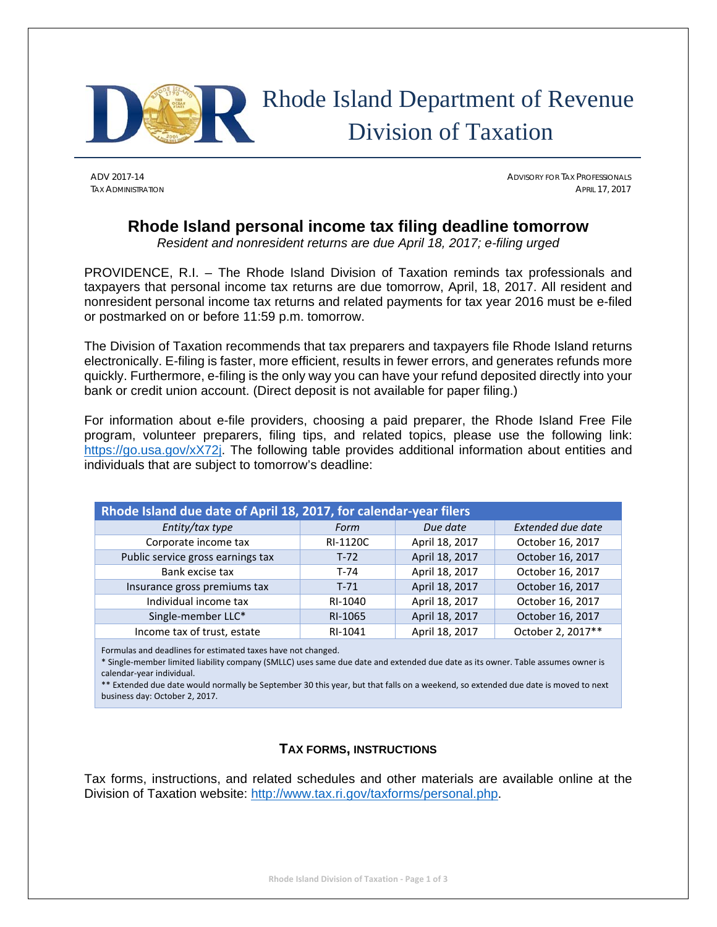

# Rhode Island Department of Revenue Division of Taxation

ADV 2017-14 ADVISORY FOR TAX PROFESSIONALS TAX ADMINISTRATION APRIL 17, 2017

# **Rhode Island personal income tax filing deadline tomorrow**

*Resident and nonresident returns are due April 18, 2017; e-filing urged* 

PROVIDENCE, R.I. – The Rhode Island Division of Taxation reminds tax professionals and taxpayers that personal income tax returns are due tomorrow, April, 18, 2017. All resident and nonresident personal income tax returns and related payments for tax year 2016 must be e-filed or postmarked on or before 11:59 p.m. tomorrow.

The Division of Taxation recommends that tax preparers and taxpayers file Rhode Island returns electronically. E-filing is faster, more efficient, results in fewer errors, and generates refunds more quickly. Furthermore, e-filing is the only way you can have your refund deposited directly into your bank or credit union account. (Direct deposit is not available for paper filing.)

For information about e-file providers, choosing a paid preparer, the Rhode Island Free File program, volunteer preparers, filing tips, and related topics, please use the following link: https://go.usa.gov/xX72j. The following table provides additional information about entities and individuals that are subject to tomorrow's deadline:

|                                                                   | <b>Extended due date</b><br>Due date<br>Form<br>October 16, 2017<br>April 18, 2017<br>RI-1120C |                |                   |  |
|-------------------------------------------------------------------|------------------------------------------------------------------------------------------------|----------------|-------------------|--|
| Rhode Island due date of April 18, 2017, for calendar-year filers |                                                                                                |                |                   |  |
| Entity/tax type                                                   |                                                                                                |                |                   |  |
| Corporate income tax                                              |                                                                                                |                |                   |  |
| Public service gross earnings tax                                 | $T-72$                                                                                         | April 18, 2017 | October 16, 2017  |  |
| Bank excise tax                                                   | $T-74$                                                                                         | April 18, 2017 | October 16, 2017  |  |
| Insurance gross premiums tax                                      | $T-71$                                                                                         | April 18, 2017 | October 16, 2017  |  |
| Individual income tax                                             | RI-1040                                                                                        | April 18, 2017 | October 16, 2017  |  |
| Single-member LLC*                                                | RI-1065                                                                                        | April 18, 2017 | October 16, 2017  |  |
| Income tax of trust, estate                                       | RI-1041                                                                                        | April 18, 2017 | October 2, 2017** |  |

Formulas and deadlines for estimated taxes have not changed.

\* Single‐member limited liability company (SMLLC) uses same due date and extended due date as its owner. Table assumes owner is calendar‐year individual.

\*\* Extended due date would normally be September 30 this year, but that falls on a weekend, so extended due date is moved to next business day: October 2, 2017.

## **TAX FORMS, INSTRUCTIONS**

Tax forms, instructions, and related schedules and other materials are available online at the Division of Taxation website: http://www.tax.ri.gov/taxforms/personal.php.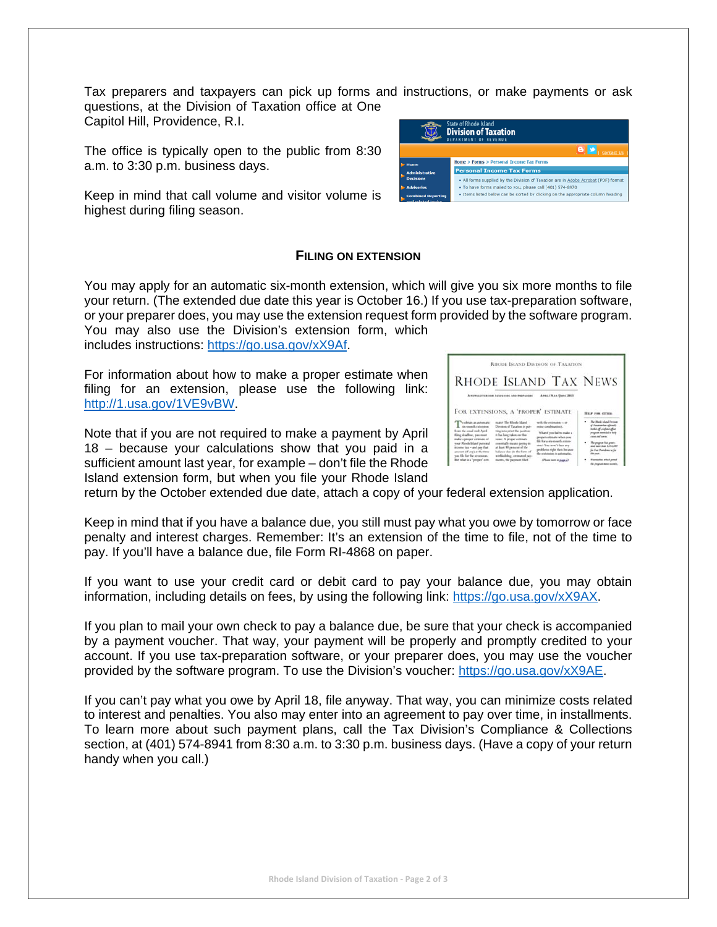Tax preparers and taxpayers can pick up forms and instructions, or make payments or ask questions, at the Division of Taxation office at One

Capitol Hill, Providence, R.I.

The office is typically open to the public from 8:30 a.m. to 3:30 p.m. business days.

Keep in mind that call volume and visitor volume is highest during filing season.

#### **FILING ON EXTENSION**

You may apply for an automatic six-month extension, which will give you six more months to file your return. (The extended due date this year is October 16.) If you use tax-preparation software, or your preparer does, you may use the extension request form provided by the software program. You may also use the Division's extension form, which

includes instructions: https://go.usa.gov/xX9Af.

For information about how to make a proper estimate when filing for an extension, please use the following link: http://1.usa.gov/1VE9vBW.

Note that if you are not required to make a payment by April 18 – because your calculations show that you paid in a sufficient amount last year, for example – don't file the Rhode Island extension form, but when you file your Rhode Island

|                                                                                                                                                                                                                             |                                                                                                                                                                                                                                                                                                                           | RHODE ISLAND DIVISION OF TAXATION                                                                                                                                                                                                 |                                                                                                                                                                                                                                                     |
|-----------------------------------------------------------------------------------------------------------------------------------------------------------------------------------------------------------------------------|---------------------------------------------------------------------------------------------------------------------------------------------------------------------------------------------------------------------------------------------------------------------------------------------------------------------------|-----------------------------------------------------------------------------------------------------------------------------------------------------------------------------------------------------------------------------------|-----------------------------------------------------------------------------------------------------------------------------------------------------------------------------------------------------------------------------------------------------|
|                                                                                                                                                                                                                             | A NUMBERTON SON ESSENTING AND PROPARING                                                                                                                                                                                                                                                                                   | <b>RHODE ISLAND TAX NEWS</b><br>Arena / Man / June, 2013                                                                                                                                                                          |                                                                                                                                                                                                                                                     |
| $Tsubstack$ about an automatic $Tsubstack$<br>from the usual mid-April<br>filing deadline, two most<br>make a proper estimate of<br>visar Rhode Island personal<br>income tax - and pay that<br>amount of any's at the time | FOR EXTENSIONS, A 'PROPER' ESTIMATE<br>mater The Rhede Island<br>Direction of Taxation is put-<br>ting into print the positions<br>it has been taken on this<br>issue: A proper estimate<br>assentially incance pasting in<br>at least 80 percent of the<br>halance chat city the forms of<br>withholding, estimated pay- | with the extension - or<br>sons combination).<br>What if you fail to make a<br>proper entimate when you<br>like for a strongwith extent.<br>most You won't face any<br>problems right than because<br>the extension is automatic. | <b>HILF FOR CITIES:</b><br>The Marie Adapt Denise<br>of Tunators has affected<br>indust of a valued after<br>program testedad as help<br>cannot similar commer-<br>* The program has green.<br>and more show 1214,000<br>for East Providence to Sat |

return by the October extended due date, attach a copy of your federal extension application.

Keep in mind that if you have a balance due, you still must pay what you owe by tomorrow or face penalty and interest charges. Remember: It's an extension of the time to file, not of the time to pay. If you'll have a balance due, file Form RI-4868 on paper.

If you want to use your credit card or debit card to pay your balance due, you may obtain information, including details on fees, by using the following link: https://go.usa.gov/xX9AX.

If you plan to mail your own check to pay a balance due, be sure that your check is accompanied by a payment voucher. That way, your payment will be properly and promptly credited to your account. If you use tax-preparation software, or your preparer does, you may use the voucher provided by the software program. To use the Division's voucher: https://go.usa.gov/xX9AE.

If you can't pay what you owe by April 18, file anyway. That way, you can minimize costs related to interest and penalties. You also may enter into an agreement to pay over time, in installments. To learn more about such payment plans, call the Tax Division's Compliance & Collections section, at (401) 574-8941 from 8:30 a.m. to 3:30 p.m. business days. (Have a copy of your return handy when you call.)